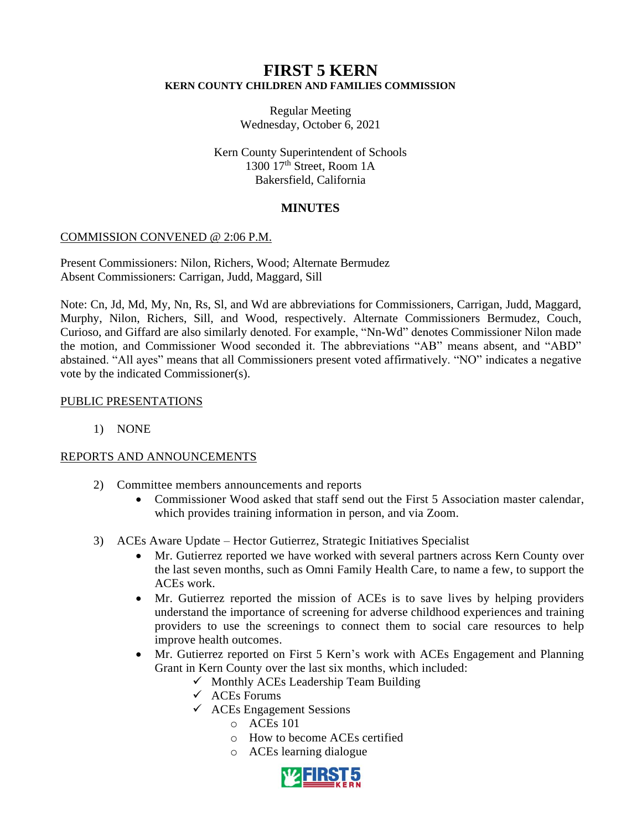# **FIRST 5 KERN KERN COUNTY CHILDREN AND FAMILIES COMMISSION**

Regular Meeting Wednesday, October 6, 2021

Kern County Superintendent of Schools 1300 17<sup>th</sup> Street, Room 1A Bakersfield, California

# **MINUTES**

# COMMISSION CONVENED @ 2:06 P.M.

Present Commissioners: Nilon, Richers, Wood; Alternate Bermudez Absent Commissioners: Carrigan, Judd, Maggard, Sill

Note: Cn, Jd, Md, My, Nn, Rs, Sl, and Wd are abbreviations for Commissioners, Carrigan, Judd, Maggard, Murphy, Nilon, Richers, Sill, and Wood, respectively. Alternate Commissioners Bermudez, Couch, Curioso, and Giffard are also similarly denoted. For example, "Nn-Wd" denotes Commissioner Nilon made the motion, and Commissioner Wood seconded it. The abbreviations "AB" means absent, and "ABD" abstained. "All ayes" means that all Commissioners present voted affirmatively. "NO" indicates a negative vote by the indicated Commissioner(s).

## PUBLIC PRESENTATIONS

1) NONE

# REPORTS AND ANNOUNCEMENTS

- 2) Committee members announcements and reports
	- Commissioner Wood asked that staff send out the First 5 Association master calendar, which provides training information in person, and via Zoom.
- 3) ACEs Aware Update Hector Gutierrez, Strategic Initiatives Specialist
	- Mr. Gutierrez reported we have worked with several partners across Kern County over the last seven months, such as Omni Family Health Care, to name a few, to support the ACEs work.
	- Mr. Gutierrez reported the mission of ACEs is to save lives by helping providers understand the importance of screening for adverse childhood experiences and training providers to use the screenings to connect them to social care resources to help improve health outcomes.
	- Mr. Gutierrez reported on First 5 Kern's work with ACEs Engagement and Planning Grant in Kern County over the last six months, which included:
		- $\checkmark$  Monthly ACEs Leadership Team Building
		- ✓ ACEs Forums
		- $\checkmark$  ACEs Engagement Sessions
			- $\circ$  ACEs 101
			- o How to become ACEs certified
			- o ACEs learning dialogue

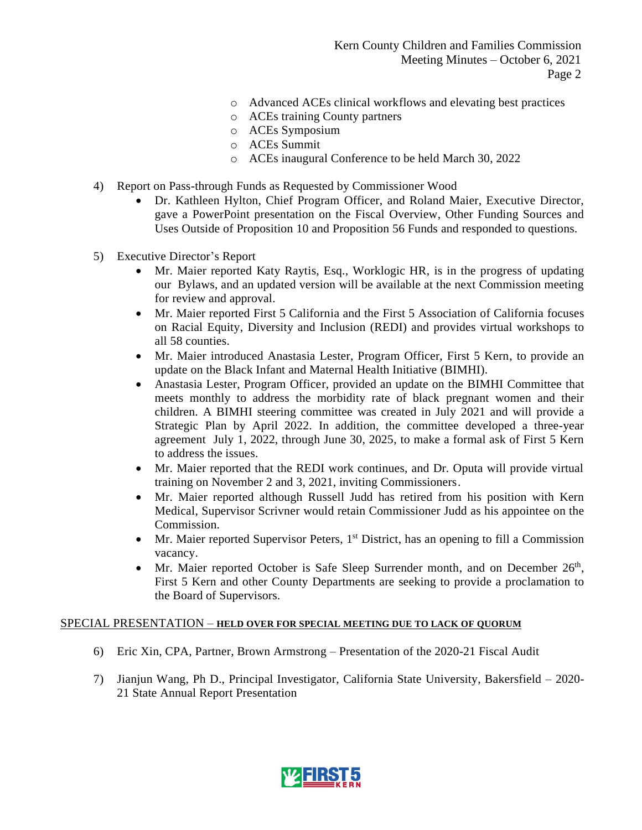- o Advanced ACEs clinical workflows and elevating best practices
- o ACEs training County partners
- o ACEs Symposium
- o ACEs Summit
- o ACEs inaugural Conference to be held March 30, 2022
- 4) Report on Pass-through Funds as Requested by Commissioner Wood
	- Dr. Kathleen Hylton, Chief Program Officer, and Roland Maier, Executive Director, gave a PowerPoint presentation on the Fiscal Overview, Other Funding Sources and Uses Outside of Proposition 10 and Proposition 56 Funds and responded to questions.
- 5) Executive Director's Report
	- Mr. Maier reported Katy Raytis, Esq., Worklogic HR, is in the progress of updating our Bylaws, and an updated version will be available at the next Commission meeting for review and approval.
	- Mr. Maier reported First 5 California and the First 5 Association of California focuses on Racial Equity, Diversity and Inclusion (REDI) and provides virtual workshops to all 58 counties.
	- Mr. Maier introduced Anastasia Lester, Program Officer, First 5 Kern, to provide an update on the Black Infant and Maternal Health Initiative (BIMHI).
	- Anastasia Lester, Program Officer, provided an update on the BIMHI Committee that meets monthly to address the morbidity rate of black pregnant women and their children. A BIMHI steering committee was created in July 2021 and will provide a Strategic Plan by April 2022. In addition, the committee developed a three-year agreement July 1, 2022, through June 30, 2025, to make a formal ask of First 5 Kern to address the issues.
	- Mr. Maier reported that the REDI work continues, and Dr. Oputa will provide virtual training on November 2 and 3, 2021, inviting Commissioners.
	- Mr. Maier reported although Russell Judd has retired from his position with Kern Medical, Supervisor Scrivner would retain Commissioner Judd as his appointee on the Commission.
	- Mr. Maier reported Supervisor Peters,  $1<sup>st</sup>$  District, has an opening to fill a Commission vacancy.
	- Mr. Maier reported October is Safe Sleep Surrender month, and on December  $26<sup>th</sup>$ , First 5 Kern and other County Departments are seeking to provide a proclamation to the Board of Supervisors.

## SPECIAL PRESENTATION – **HELD OVER FOR SPECIAL MEETING DUE TO LACK OF QUORUM**

- 6) Eric Xin, CPA, Partner, Brown Armstrong Presentation of the 2020-21 Fiscal Audit
- 7) Jianjun Wang, Ph D., Principal Investigator, California State University, Bakersfield 2020- 21 State Annual Report Presentation